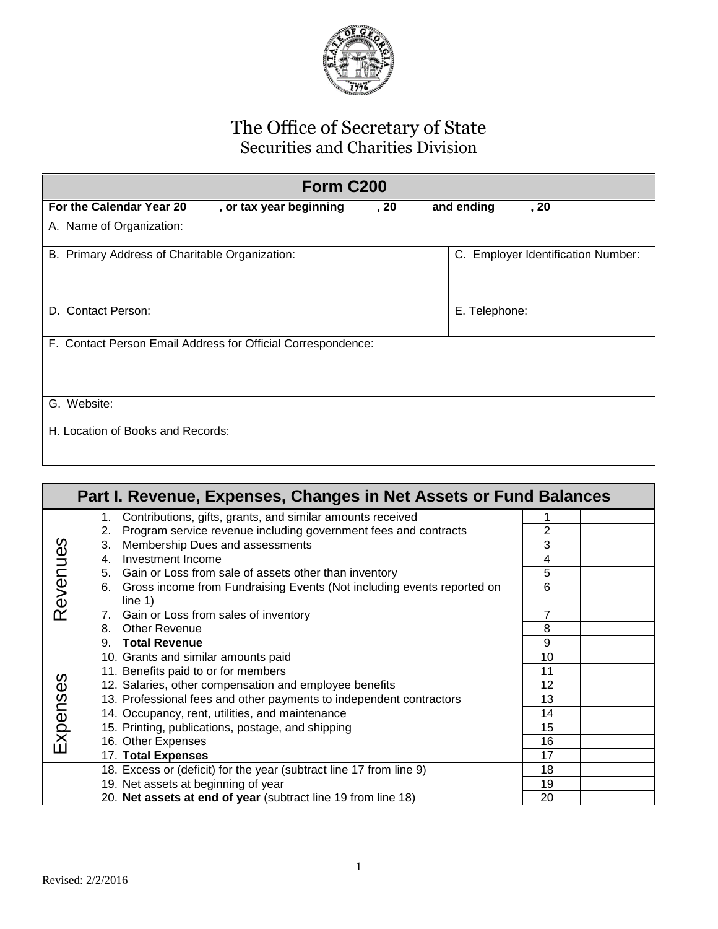

## The Office of Secretary of State Securities and Charities Division

| Form C200                                                    |                         |      |                                              |
|--------------------------------------------------------------|-------------------------|------|----------------------------------------------|
| For the Calendar Year 20                                     | , or tax year beginning | , 20 | and ending<br>, 20                           |
| A. Name of Organization:                                     |                         |      |                                              |
| B. Primary Address of Charitable Organization:               |                         |      | <b>Employer Identification Number:</b><br>C. |
| D. Contact Person:                                           |                         |      | E. Telephone:                                |
| F. Contact Person Email Address for Official Correspondence: |                         |      |                                              |
| G. Website:                                                  |                         |      |                                              |
| H. Location of Books and Records:                            |                         |      |                                              |

| Part I. Revenue, Expenses, Changes in Net Assets or Fund Balances |    |                                                                                        |    |  |
|-------------------------------------------------------------------|----|----------------------------------------------------------------------------------------|----|--|
|                                                                   |    | 1. Contributions, gifts, grants, and similar amounts received                          |    |  |
|                                                                   | 2. | Program service revenue including government fees and contracts                        | 2  |  |
| S                                                                 | 3. | Membership Dues and assessments                                                        | 3  |  |
|                                                                   | 4. | Investment Income                                                                      | 4  |  |
|                                                                   |    | 5. Gain or Loss from sale of assets other than inventory                               | 5  |  |
| Revenue                                                           |    | 6. Gross income from Fundraising Events (Not including events reported on<br>line $1)$ | 6  |  |
|                                                                   |    | 7. Gain or Loss from sales of inventory                                                | 7  |  |
|                                                                   | 8. | <b>Other Revenue</b>                                                                   | 8  |  |
|                                                                   |    | 9. Total Revenue                                                                       | 9  |  |
|                                                                   |    | 10. Grants and similar amounts paid                                                    | 10 |  |
|                                                                   |    | 11. Benefits paid to or for members                                                    | 11 |  |
| Expenses                                                          |    | 12. Salaries, other compensation and employee benefits                                 | 12 |  |
|                                                                   |    | 13. Professional fees and other payments to independent contractors                    | 13 |  |
|                                                                   |    | 14. Occupancy, rent, utilities, and maintenance                                        | 14 |  |
|                                                                   |    | 15. Printing, publications, postage, and shipping                                      | 15 |  |
|                                                                   |    | 16. Other Expenses                                                                     | 16 |  |
|                                                                   |    | 17. Total Expenses                                                                     | 17 |  |
|                                                                   |    | 18. Excess or (deficit) for the year (subtract line 17 from line 9)                    | 18 |  |
|                                                                   |    | 19. Net assets at beginning of year                                                    | 19 |  |
|                                                                   |    | 20. Net assets at end of year (subtract line 19 from line 18)                          | 20 |  |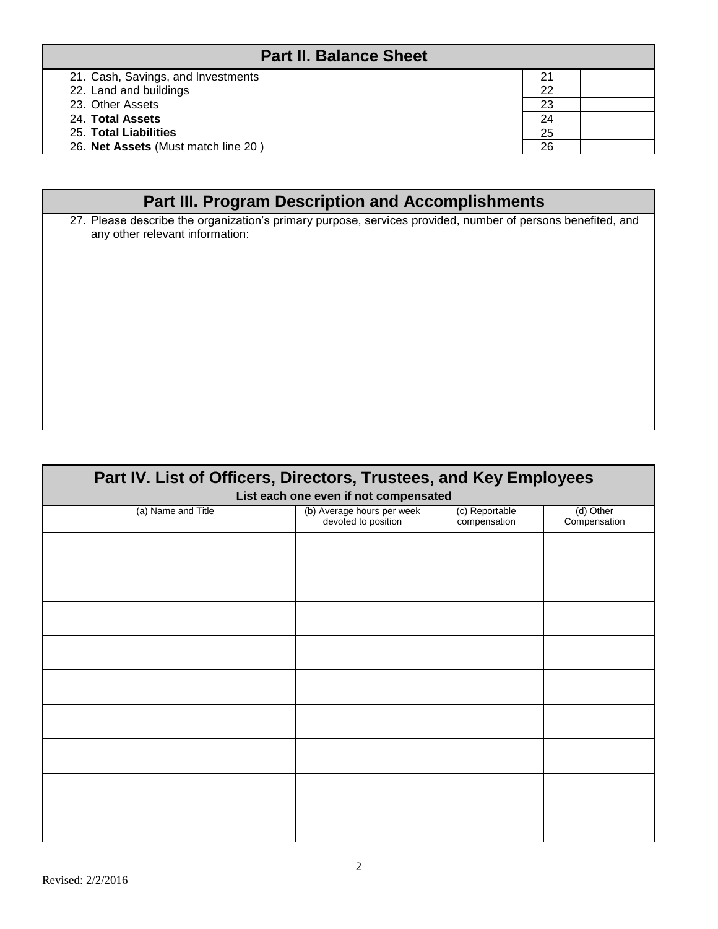| <b>Part II. Balance Sheet</b>       |    |  |
|-------------------------------------|----|--|
| 21. Cash, Savings, and Investments  | 21 |  |
| 22. Land and buildings              | 22 |  |
| 23. Other Assets                    | 23 |  |
| 24. Total Assets                    | 24 |  |
| 25. Total Liabilities               | 25 |  |
| 26. Net Assets (Must match line 20) | 26 |  |

## **Part III. Program Description and Accomplishments**

27. Please describe the organization's primary purpose, services provided, number of persons benefited, and any other relevant information:

| Part IV. List of Officers, Directors, Trustees, and Key Employees<br>List each one even if not compensated |                                                   |                                |                           |
|------------------------------------------------------------------------------------------------------------|---------------------------------------------------|--------------------------------|---------------------------|
| (a) Name and Title                                                                                         | (b) Average hours per week<br>devoted to position | (c) Reportable<br>compensation | (d) Other<br>Compensation |
|                                                                                                            |                                                   |                                |                           |
|                                                                                                            |                                                   |                                |                           |
|                                                                                                            |                                                   |                                |                           |
|                                                                                                            |                                                   |                                |                           |
|                                                                                                            |                                                   |                                |                           |
|                                                                                                            |                                                   |                                |                           |
|                                                                                                            |                                                   |                                |                           |
|                                                                                                            |                                                   |                                |                           |
|                                                                                                            |                                                   |                                |                           |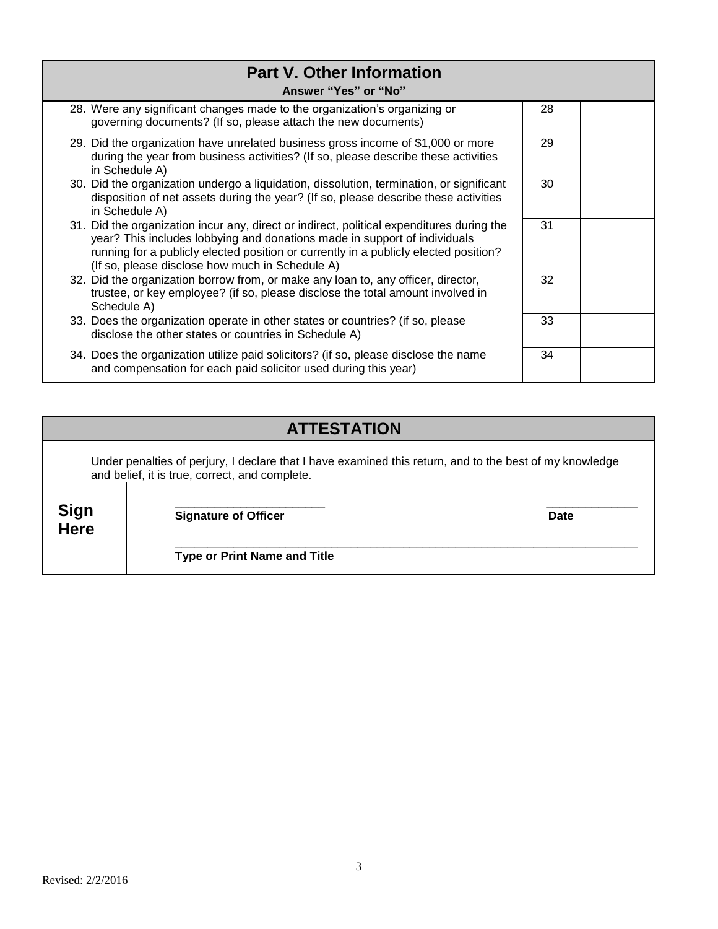| <b>Part V. Other Information</b><br>Answer "Yes" or "No"                                                                                                                                                                                                                                                          |    |  |
|-------------------------------------------------------------------------------------------------------------------------------------------------------------------------------------------------------------------------------------------------------------------------------------------------------------------|----|--|
| 28. Were any significant changes made to the organization's organizing or<br>governing documents? (If so, please attach the new documents)                                                                                                                                                                        | 28 |  |
| 29. Did the organization have unrelated business gross income of \$1,000 or more<br>during the year from business activities? (If so, please describe these activities<br>in Schedule A)                                                                                                                          | 29 |  |
| 30. Did the organization undergo a liquidation, dissolution, termination, or significant<br>disposition of net assets during the year? (If so, please describe these activities<br>in Schedule A)                                                                                                                 | 30 |  |
| 31. Did the organization incur any, direct or indirect, political expenditures during the<br>year? This includes lobbying and donations made in support of individuals<br>running for a publicly elected position or currently in a publicly elected position?<br>(If so, please disclose how much in Schedule A) | 31 |  |
| 32. Did the organization borrow from, or make any loan to, any officer, director,<br>trustee, or key employee? (if so, please disclose the total amount involved in<br>Schedule A)                                                                                                                                | 32 |  |
| 33. Does the organization operate in other states or countries? (if so, please<br>disclose the other states or countries in Schedule A)                                                                                                                                                                           | 33 |  |
| 34. Does the organization utilize paid solicitors? (if so, please disclose the name<br>and compensation for each paid solicitor used during this year)                                                                                                                                                            | 34 |  |

# **ATTESTATION**

|                            | Under penalties of perjury, I declare that I have examined this return, and to the best of my knowledge<br>and belief, it is true, correct, and complete. |      |
|----------------------------|-----------------------------------------------------------------------------------------------------------------------------------------------------------|------|
| <b>Sign</b><br><b>Here</b> | <b>Signature of Officer</b>                                                                                                                               | Date |
|                            | <b>Type or Print Name and Title</b>                                                                                                                       |      |